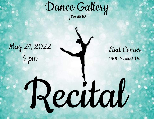Dance Gallery presents

Recital

May 21, 2022 4 pm

Lied Center 1600 Stewart Dr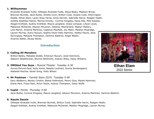#### **1. Willkommen**

Amandla Alvarado-Yuille, Gillespie Alvarado-Yuille, Alexa Beaty, Madison Brosa, Brennan Burnett, Jacie Butler, Amelia Conn, Brittyn Cook, Kiyana Cook, Kherrington Dodds, Ethan Elam, Lacey Shay Farrar, Anna Gerrish, Gabrielle Harris, Reagan Heath, Julietta Keathley-Helms, Marina Kimzey, Corinne Kingsley, Kacia Kite, Mila Koester, Abigail Krehbiel, Audrey Krehbiel, Maura Langland, Grace Lichauer, Lillyan Lloyd, Makenzie McDaniel, Adyson McLenon, Delaney MacFarland, Madiyn Mallory, Lola Martin, Arianna Martinez, Cadence Mayfield, Joy Malin, Madilyn Mugridge, Lauren Murray, Avery Nuzum, Sophia Olson-Kelly Ramirez, Hadley Payne, Jena Syvongsay, Makayla Thompson, Gemma Waldron, Angel Waller, Arianna Waller, Alyssa Works

# **Introduction**

### **2. Calling All Monsters**

Britton Bailey, Makaela Dodds, Emersyn Nuzum, Josie Simmons, Adelynn Weatherwax, Brynna Whitmore, Aubrey Wiley, Daisy Williams

- **3. OMIGod You Guys -** *Musical Theater Tuesday 4:30* Aurora Eklund-Deal, Kelly Konie, Natalie Lockhart, Emma Nordengaard, Adelaide Rischar, Sarah Song, Holly Wilson
- **4. Mr Postman -** *Twinkle Stars III/IV Tuesday 5:00* Kacy Atteberry, Bexley Conklin, Blaise Feldmeyer, Penny Gray, Maisie Hammen, Diane Park, Freya Park, Avlyn Taylor, Aubrey Thompson, Daisy Wolfe
- **5. Cupid -** *Pointe Thursday 4:00*

Jacie Butler, Corinne Kingsley, Maura Langland, Adyson McLenon, Arianna Martinez, Gemma Waldron

### **6. Razzle Dazzle**

Gillespie Alvarado-Yuille, Brennan Burnett, Brittyn Cook, Gabrielle Harris, Reagan Heath, Abigail Krehbiel, Audrey Krehbiel, Makenzie McDaniel, Madilyn Mugridge, Lauren Murray



**Ethan Elam** 2022 Senior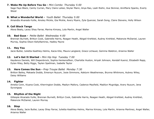### **7. Wake Me Up Before You Go -** *Mini Combo Thursday 5:00*

Sage Faye Black, Camly Curran, Mary Claire Leiker, Skylar Mann, Anya Rao, Leah Riehn, Ava Skinner, AnnMarie Sparks, Everly Wood

#### **8. What a Wonderful World -** *Youth Ballet Thursday 5:00*

Amandla Alvarado-Yuille, Ainsley Mickle, Gia Mickle, Avery Myers, Zyla Quenzer, Sarah Song, Claire Stevens, Holly Wilson

### **9. Cell Block Tango**

Alexa Beaty, Lacey Shay Farrar, Marina Kimzey, Lola Martin, Angel Waller

#### **10. Bad Guys -** *Petite Ballet Wednesday 4:00*

Brennan Burnett, Brittyn Cook, Gabrielle Harris, Reagan Heath, Abigail Krehbiel, Audrey Krehbiel, Makenzie McDaniel, Lauren Murray, Sophia Olson-KellyRamirez, Hadley Payne

#### **11. Hey You**

Jacie Butler, Julietta Keathley-Helms, Kacia Kite, Maura Langland, Grace Lichauer, Gemma Waldron, Arianna Waller

### **12. Let's Get It Started -** *Mini Hip Hop Tuesday 7:00*

Kaydence Daniels, Will Diepenbrock, Sophia Henkensifken, Charlotte Huston, Ariyah Johnson, Kendall Kuenzi, Elizabeth Rapp, Dylan Riley, Betty Riggs, Taylen Spellman, Isabelle Taylor

#### **13. Here Comes the Sun -** *Prep Troupe Ballet Monday 7:30*

Britton Bailey, Makaela Dodds, Emersyn Nuzum, Josie Simmons, Adelynn Weatherwax, Brynna Whitmore, Aubrey Wiley, Daisy Williams

#### **14. Fighter**

Amelia Conn, Kiyana Cook, Kherrington Dodds, Madiyn Mallory, Cadence Mayfield, Madilyn Mugridge, Avery Nuzum, Jena Syvongsay

### **15. Rhythm of the Night**

Gillespie Alvarado-Yuille, Brennan Burnett, Brittyn Cook, Gabrielle Harris, Reagan Heath, Abigail Krehbiel, Audrey Krehbiel, Makenzie McDaniel, Lauren Murray

#### **16. Stop**

Alexa Beaty, Jacie Butler, Lacey Shay Farrar, Julietta Keathley-Helms, Marina Kimzey, Lola Martin, Arianna Martinez, Angel Waller, Arianna Waller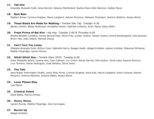### **17. Tell Him**

Amandla Alvarado-Yuille, Anna Gerrish, Delaney MacFarland, Sophia Olson-Kelly Ramirez, Hadley Payne

### **18. Bom Bom**

Madison Brosa, Corinne Kingsley, Maura Langland, Adyson McLenon, Makayla Thompson, Gemma Waldron, Alyssa Works

### **19. These Boots Are Made for Walking -** *Twinkle Star Tap Tuesday 4:30*

Bexley Conklin, Blaise Feldmeyer, Annabelle Heinen, Gabriela Linhares, Avlyn Taylor, Daisy Wolfe

### **20. Fresh Prince of Bel Aire -** *Hip Hop Tuesday 5:00 & Thursday 6:00*

Brooke Bowden Compton, Aurora Eklund-Deal, Olivia Frits, Londyn Huston, Harper Huston, Emma Nordengaard, Zyla Quenzer, Brynn Teel, Holly Wilson, Melinda Zhang

### **21. Can't Turn You Loose**

Gillespie Alvarado-Yuille, Brittyn Cook, Gabrielle Harris, Reagan Heath, Abigail Krehbiel, Audrey Krehbiel, Makenzie McDaniel, Madilyn Mugridge, Lauren Murray

### **22. Gitchi Gitchi Goo -** *Twinkle Stars III/IV Tuesday 6:00*

Greer Elizabeth Alford, Leanna Amr, Cami Calhoon, Ivy Corbin, Norah Gerrish, Ellis Huston, Olivia Latta, Ryanne McClure, Lucy Overton, Adrian Rodriguez, Zulla Wiliams, Olivia Yantzi

### **23. The Tide**

Jacie Butler, Kherrington Dodds, Lacey Shay Farrar, Corinne Kingsley, Kacia Kite, Maura Langland, Grace Lichauer, Adyson McLenon, Arianna Martinez, Arianna Waller, Alyssa Works

## **24. Lover Please Stay**

Lola Martin

## **25. Criminal Intent**

Alexa Beaty, Marina Kimzey

## **26. Money, Money** Lauren Murray, Madilyn Mugridge, Jena Syvongsay

## **27. Burnin Up**

Abigail Krehbiel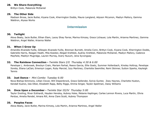### **28. We Share Everything**

Brittyn Cook, Makenzie McDaniel

#### **29. The Other Side**

Madison Brosa, Jacie Butler, Kiyana Cook, Kherrington Dodds, Maura Langland, Adyson McLenon, Madiyn Mallory, Gemma Waldron, Alyssa Works

# **Intermission**

### **30. Twilight**

Alexa Beaty, Jacie Butler, Ethan Elam, Lacey Shay Farrar, Marina Kimzey, Grace Lichauer, Lola Martin, Arianna Martinez, Gemma Waldron, Angel Waller, Arianna Waller

### **31. When I Grow Up**

Amandla Alvarado-Yuille, Gillespie Alvarado-Yuille, Brennan Burnett, Amelia Conn, Brittyn Cook, Kiyana Cook, Kherrington Dodds, Gabrielle Harris, Reagan Heath, Mila Koester, Abigail Krehbiel, Audrey Krehbiel, Makenzie McDaniel, Madiyn Mallory, Cadence Mayfield, Madilyn Mugridge, Lauren Murray, Avery Nuzum, Jena Syvongsay

### **32. The Rainbow Connection -** *Twinkle Stars I/II Thursday 4:30 & 6:00*

Penelope L. Ambrosek, Breckyn Crain, Mariam Farhat, Reece Garcia, Ellie Goetz, Summer Hollenbach, Kinsley Holtrop, Penelope Iloreta, Eliana LaClair, Emersyn Logan, Ruby Marciel, Izzy Martinez, Charlotte Seemiller, Remi Skinner, Sutton Sparks, Kayleigh Tennis

### **33. Just Dance -** *Mini Combo Tuesday 6:00*

Nova Bishop-Simmons, Lillian Clover, Will Diepenbrock, Grace Gellender, Sylvia Gunter, Zoey Haynes, Charlotte Huston, Kendall Kuenzi, Isla Olker, Elizabeth Rapp, Betty Riggs, Emma Singer, Taylen Spellman, Daisy Williams

## **34. Once Upon a December -** *Twinkle Star III/IV Thursday 5:00*

Taylor Dreiling, River Eckhardt, Hayden Hensley, Aubrey Hoke, Melanie Kaplinger, Carlee Lennon Rivera, Luca Martin, Olivia Perdue, Amelia Rendel, Amara Rill, Anna Clare Scott, Aubrey Thompson

#### **35. Peoples Faces**

Alexa Beaty, Jacie Butler, Marina Kimzey, Lola Martin, Arianna Martinez, Angel Waller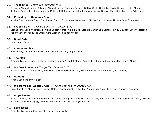### **36. Thrift Shop -** *Petite Tap Tuesday 7:30*

Amandla Alvarado-Yuille, Gillespie Alvarado-Yuille, Brennan Burnett, Brittyn Cook, Gabrielle Harris, Reagan Heath, Abigail Krehbiel, Audrey Krehbiel, Makenzie McDaniel, Delaney MacFarland, Lauren Murray, Sophia Olson-Kelly Ramirez, Zyla Quenzer

#### **37. Knocking on Heaven's Door**

Amelia Conn, Kiyana Cook, Kherrington Dodds, Julietta Keathley-Helms, Madiyn Mallory, Avery Nuzum, Jena Syvongsay

### **38. Cruella de Vil -** *Twinkle Stars I/II Tuesday 5:30*

Serena Amr, Sage Anderson, Portland Baxter-Martel, Amelia Bird, Isabella Carter, Isla Carter, Finnley Davison, Emery Peterson, Kenley Schoonover, Rylee Stroh, Cora Warner, Penelope Wenger

#### **39. Blind Date**

Lacey Shay Farrar

#### **40. Choose to Live**

Alexa Beaty, Jacie Butler, Marina Kimzey, Lola Martin, Angel Waller

#### **41. The Man**

Brennan Burnett, Gabrielle Harris, Reagan Heath, Abigail Krehbiel, Audrey Krehbiel, Madilyn Mugridge, Lauren Murray

#### **42. Surface Pressure -** *Troupe Tap Monday 5:15*

Makaela Dodds, Anna Gerrish, Mila Koester, Delaney MacFarland, Hadley Payne, Josie Simmons, Sarah Song

#### **43. Remedy**

Kiyana Cook, Madiyn Mallory

#### **44. We Don't Talk About Bruno -** *Twinkle Star Tap Thursday 5:30*

Greer Elizabeth Alford, Reece Garcia, Melanie Kaplinger, Olivia Perdue, Amara Rill, Anna Clare Scott, Aubrey Thompson

#### **45. Angel Down**

Madison Brosa, Jacie Butler, Ethan Elam, Corinne Kingsley, Kacia Kite, Maura Langland, Grace Lichauer, Adyson McLenon, Arianna Martinez, Jena Syvongsay, Gemma Waldron, Arianna Waller, Alyssa Works

#### **46. Love Game**

Alexa Beaty, Marina Kimzey, Lola Martin, Angel Waller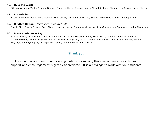### **47. Rule the World**

Gillespie Alvarado-Yuille, Brennan Burnett, Gabrielle Harris, Reagan Heath, Abigail Krehbiel, Makenzie McDaniel, Lauren Murray

#### **48. Rockefeller**

Amandla Alvarado-Yuille, Anna Gerrish, Mila Koester, Delaney MacFarland, Sophia Olson-Kelly Ramirez, Hadley Payne

#### **49. Rhythm Nation -** *Youth Jazz Tuesday 5:30*

Charlie Bird, Sophia Ernzen, Fiona Gigous, Harper Huston, Emma Nordengaard, Zyla Quenzer, Ally Simmons, Landry Thompson

#### **50. Press Conference Rag**

Madison Brosa, Jacie Butler, Amelia Conn, Kiyana Cook, Kherrington Dodds, Ethan Elam, Lacey Shay Farrar, Julietta Keathley-Helms, Corinne Kingsley, Kacia Kite, Maura Langland, Grace Lichauer, Adyson McLenon, Madiyn Mallory, Madilyn Mugridge, Jena Syvongsay, Makayla Thompson, Arianna Waller, Alyssa Works

# **Thank you!**

A special thanks to our parents and guardians for making this year of dance possible. Your support and encouragement is greatly appreciated. It is a privilege to work with your students.